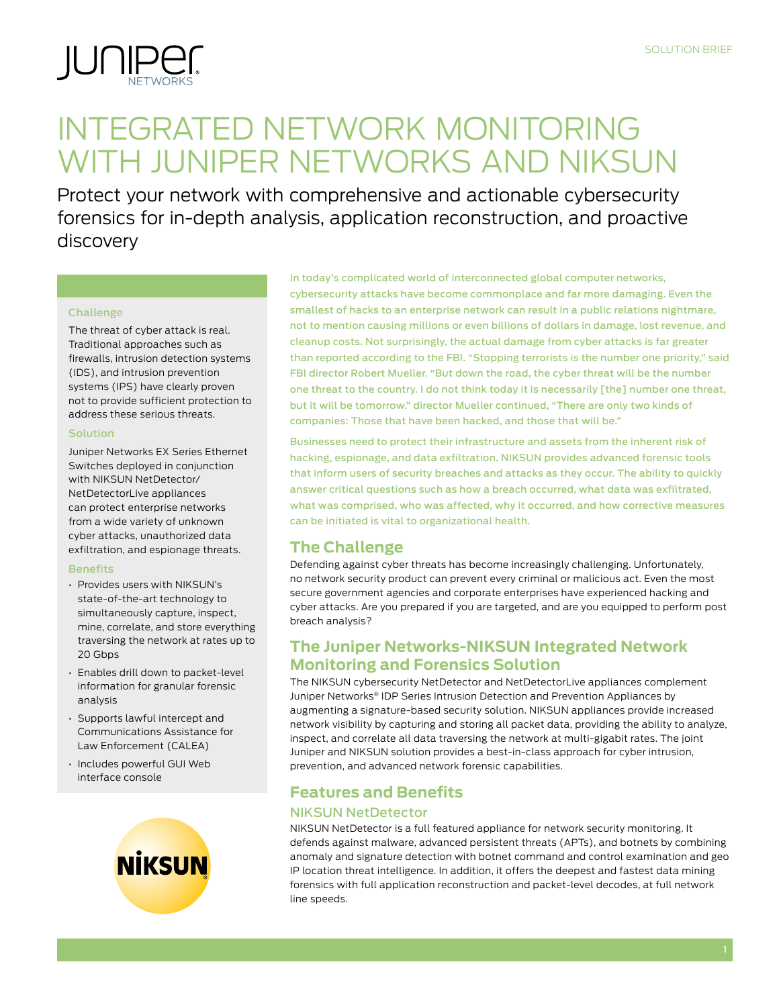

# INTEGRATED NETWORK MONITORING WITH JUNIPER NETWORKS AND NIKSUN

Protect your network with comprehensive and actionable cybersecurity forensics for in-depth analysis, application reconstruction, and proactive discovery

#### Challenge

The threat of cyber attack is real. Traditional approaches such as firewalls, intrusion detection systems (IDS), and intrusion prevention systems (IPS) have clearly proven not to provide sufficient protection to address these serious threats.

#### Solution

Juniper Networks EX Series Ethernet Switches deployed in conjunction with NIKSUN NetDetector/ NetDetectorLive appliances can protect enterprise networks from a wide variety of unknown cyber attacks, unauthorized data exfiltration, and espionage threats.

#### **Benefits**

- • Provides users with NIKSUN's state-of-the-art technology to simultaneously capture, inspect, mine, correlate, and store everything traversing the network at rates up to 20 Gbps
- $\cdot$  Enables drill down to packet-level information for granular forensic analysis
- • Supports lawful intercept and Communications Assistance for Law Enforcement (CALEA)
- • Includes powerful GUI Web interface console



In today's complicated world of interconnected global computer networks, cybersecurity attacks have become commonplace and far more damaging. Even the smallest of hacks to an enterprise network can result in a public relations nightmare, not to mention causing millions or even billions of dollars in damage, lost revenue, and cleanup costs. Not surprisingly, the actual damage from cyber attacks is far greater than reported according to the FBI. "Stopping terrorists is the number one priority," said FBI director Robert Mueller. "But down the road, the cyber threat will be the number one threat to the country. I do not think today it is necessarily [the] number one threat, but it will be tomorrow." director Mueller continued, "There are only two kinds of companies: Those that have been hacked, and those that will be."

Businesses need to protect their infrastructure and assets from the inherent risk of hacking, espionage, and data exfiltration. NIKSUN provides advanced forensic tools that inform users of security breaches and attacks as they occur. The ability to quickly answer critical questions such as how a breach occurred, what data was exfiltrated, what was comprised, who was affected, why it occurred, and how corrective measures can be initiated is vital to organizational health.

# **The Challenge**

Defending against cyber threats has become increasingly challenging. Unfortunately, no network security product can prevent every criminal or malicious act. Even the most secure government agencies and corporate enterprises have experienced hacking and cyber attacks. Are you prepared if you are targeted, and are you equipped to perform post breach analysis?

# **The Juniper Networks-NIKSUN Integrated Network Monitoring and Forensics Solution**

The NIKSUN cybersecurity NetDetector and NetDetectorLive appliances complement Juniper Networks® IDP Series Intrusion Detection and Prevention Appliances by augmenting a signature-based security solution. NIKSUN appliances provide increased network visibility by capturing and storing all packet data, providing the ability to analyze, inspect, and correlate all data traversing the network at multi-gigabit rates. The joint Juniper and NIKSUN solution provides a best-in-class approach for cyber intrusion, prevention, and advanced network forensic capabilities.

# **Features and Benefits**

## NIKSUN NetDetector

NIKSUN NetDetector is a full featured appliance for network security monitoring. It defends against malware, advanced persistent threats (APTs), and botnets by combining anomaly and signature detection with botnet command and control examination and geo IP location threat intelligence. In addition, it offers the deepest and fastest data mining forensics with full application reconstruction and packet-level decodes, at full network line speeds.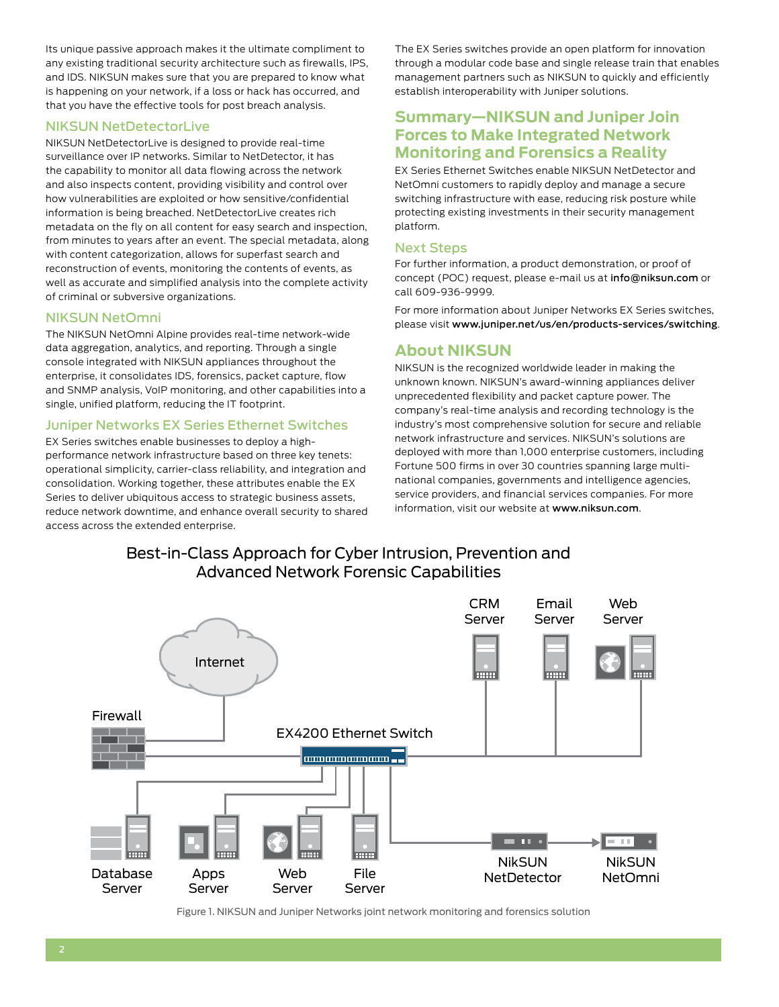Its unique passive approach makes it the ultimate compliment to any existing traditional security architecture such as firewalls, IPS, and IDS. NIKSUN makes sure that you are prepared to know what is happening on your network, if a loss or hack has occurred, and that you have the effective tools for post breach analysis.

### NIKSUN NetDetectorLive

NIKSUN NetDetectorLive is designed to provide real-time surveillance over IP networks. Similar to NetDetector, it has the capability to monitor all data flowing across the network and also inspects content, providing visibility and control over how vulnerabilities are exploited or how sensitive/confidential information is being breached. NetDetectorLive creates rich metadata on the fly on all content for easy search and inspection, from minutes to years after an event. The special metadata, along with content categorization, allows for superfast search and reconstruction of events, monitoring the contents of events, as well as accurate and simplified analysis into the complete activity of criminal or subversive organizations.

## NIKSUN NetOmni

The NIKSUN NetOmni Alpine provides real-time network-wide data aggregation, analytics, and reporting. Through a single console integrated with NIKSUN appliances throughout the enterprise, it consolidates IDS, forensics, packet capture, flow and SNMP analysis, VoIP monitoring, and other capabilities into a single, unified platform, reducing the IT footprint.

## Juniper Networks EX Series Ethernet Switches

EX Series switches enable businesses to deploy a highperformance network infrastructure based on three key tenets: operational simplicity, carrier-class reliability, and integration and consolidation. Working together, these attributes enable the EX Series to deliver ubiquitous access to strategic business assets, reduce network downtime, and enhance overall security to shared access across the extended enterprise.

The EX Series switches provide an open platform for innovation through a modular code base and single release train that enables management partners such as NIKSUN to quickly and efficiently establish interoperability with Juniper solutions.

# **Summary—NIKSUN and Juniper Join Forces to Make Integrated Network Monitoring and Forensics a Reality**

EX Series Ethernet Switches enable NIKSUN NetDetector and NetOmni customers to rapidly deploy and manage a secure switching infrastructure with ease, reducing risk posture while protecting existing investments in their security management platform.

## Next Steps

For further information, a product demonstration, or proof of concept (POC) request, please e-mail us at info@niksun.com or call 609-936-9999.

For more information about Juniper Networks EX Series switches, please visit [www.juniper.net/us/en/products-services/switching]( www.juniper.net/us/en/products-services/switching).

# **About NIKSUN**

NIKSUN is the recognized worldwide leader in making the unknown known. NIKSUN's award-winning appliances deliver unprecedented flexibility and packet capture power. The company's real-time analysis and recording technology is the industry's most comprehensive solution for secure and reliable network infrastructure and services. NIKSUN's solutions are deployed with more than 1,000 enterprise customers, including Fortune 500 firms in over 30 countries spanning large multinational companies, governments and intelligence agencies, service providers, and financial services companies. For more information, visit our website at www.niksun.com.

Best-in-Class Approach for Cyber Intrusion, Prevention and Advanced Network Forensic Capabilities



Figure 1. NIKSUN and Juniper Networks joint network monitoring and forensics solution